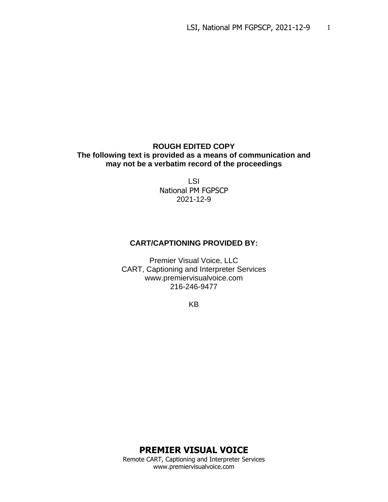### **ROUGH EDITED COPY The following text is provided as a means of communication and may not be a verbatim record of the proceedings**

LSI National PM FGPSCP 2021-12-9

## **CART/CAPTIONING PROVIDED BY:**

Premier Visual Voice, LLC CART, Captioning and Interpreter Services www.premiervisualvoice.com 216-246-9477

KB

**PREMIER VISUAL VOICE**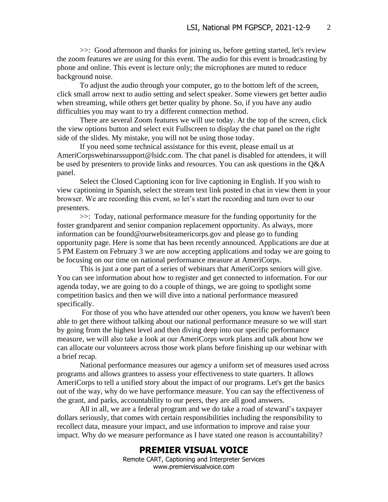>>: Good afternoon and thanks for joining us, before getting started, let's review the zoom features we are using for this event. The audio for this event is broadcasting by phone and online. This event is lecture only; the microphones are muted to reduce background noise.

To adjust the audio through your computer, go to the bottom left of the screen, click small arrow next to audio setting and select speaker. Some viewers get better audio when streaming, while others get better quality by phone. So, if you have any audio difficulties you may want to try a different connection method.

There are several Zoom features we will use today. At the top of the screen, click the view options button and select exit Fullscreen to display the chat panel on the right side of the slides. My mistake, you will not be using those today.

If you need some technical assistance for this event, please email us at AmeriCorpswebinarssupport@lsidc.com. The chat panel is disabled for attendees, it will be used by presenters to provide links and resources. You can ask questions in the Q&A panel.

Select the Closed Captioning icon for live captioning in English. If you wish to view captioning in Spanish, select the stream text link posted in chat in view them in your browser. We are recording this event, so let's start the recording and turn over to our presenters.

>>: Today, national performance measure for the funding opportunity for the foster grandparent and senior companion replacement opportunity. As always, more information can be found@ourwebsiteamericorps.gov and please go to funding opportunity page. Here is some that has been recently announced. Applications are due at 5 PM Eastern on February 3 we are now accepting applications and today we are going to be focusing on our time on national performance measure at AmeriCorps.

This is just a one part of a series of webinars that AmeriCorps seniors will give. You can see information about how to register and get connected to information. For our agenda today, we are going to do a couple of things, we are going to spotlight some competition basics and then we will dive into a national performance measured specifically.

For those of you who have attended our other openers, you know we haven't been able to get there without talking about our national performance measure so we will start by going from the highest level and then diving deep into our specific performance measure, we will also take a look at our AmeriCorps work plans and talk about how we can allocate our volunteers across those work plans before finishing up our webinar with a brief recap.

National performance measures our agency a uniform set of measures used across programs and allows grantees to assess your effectiveness to state quarters. It allows AmeriCorps to tell a unified story about the impact of our programs. Let's get the basics out of the way, why do we have performance measure. You can say the effectiveness of the grant, and parks, accountability to our peers, they are all good answers.

All in all, we are a federal program and we do take a road of steward's taxpayer dollars seriously, that comes with certain responsibilities including the responsibility to recollect data, measure your impact, and use information to improve and raise your impact. Why do we measure performance as I have stated one reason is accountability?

### **PREMIER VISUAL VOICE**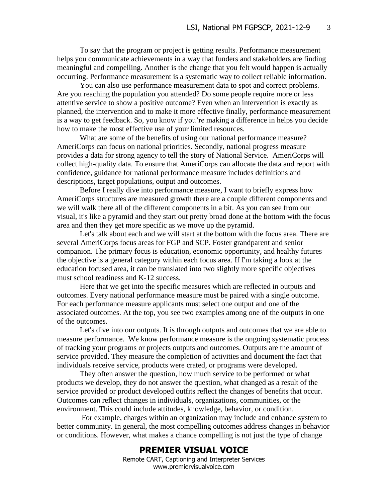To say that the program or project is getting results. Performance measurement helps you communicate achievements in a way that funders and stakeholders are finding meaningful and compelling. Another is the change that you felt would happen is actually occurring. Performance measurement is a systematic way to collect reliable information.

You can also use performance measurement data to spot and correct problems. Are you reaching the population you attended? Do some people require more or less attentive service to show a positive outcome? Even when an intervention is exactly as planned, the intervention and to make it more effective finally, performance measurement is a way to get feedback. So, you know if you're making a difference in helps you decide how to make the most effective use of your limited resources.

What are some of the benefits of using our national performance measure? AmeriCorps can focus on national priorities. Secondly, national progress measure provides a data for strong agency to tell the story of National Service. AmeriCorps will collect high-quality data. To ensure that AmeriCorps can allocate the data and report with confidence, guidance for national performance measure includes definitions and descriptions, target populations, output and outcomes.

Before I really dive into performance measure, I want to briefly express how AmeriCorps structures are measured growth there are a couple different components and we will walk there all of the different components in a bit. As you can see from our visual, it's like a pyramid and they start out pretty broad done at the bottom with the focus area and then they get more specific as we move up the pyramid.

Let's talk about each and we will start at the bottom with the focus area. There are several AmeriCorps focus areas for FGP and SCP. Foster grandparent and senior companion. The primary focus is education, economic opportunity, and healthy futures the objective is a general category within each focus area. If I'm taking a look at the education focused area, it can be translated into two slightly more specific objectives must school readiness and K-12 success.

Here that we get into the specific measures which are reflected in outputs and outcomes. Every national performance measure must be paired with a single outcome. For each performance measure applicants must select one output and one of the associated outcomes. At the top, you see two examples among one of the outputs in one of the outcomes.

Let's dive into our outputs. It is through outputs and outcomes that we are able to measure performance. We know performance measure is the ongoing systematic process of tracking your programs or projects outputs and outcomes. Outputs are the amount of service provided. They measure the completion of activities and document the fact that individuals receive service, products were crated, or programs were developed.

They often answer the question, how much service to be performed or what products we develop, they do not answer the question, what changed as a result of the service provided or product developed outfits reflect the changes of benefits that occur. Outcomes can reflect changes in individuals, organizations, communities, or the environment. This could include attitudes, knowledge, behavior, or condition.

For example, charges within an organization may include and enhance system to better community. In general, the most compelling outcomes address changes in behavior or conditions. However, what makes a chance compelling is not just the type of change

# **PREMIER VISUAL VOICE**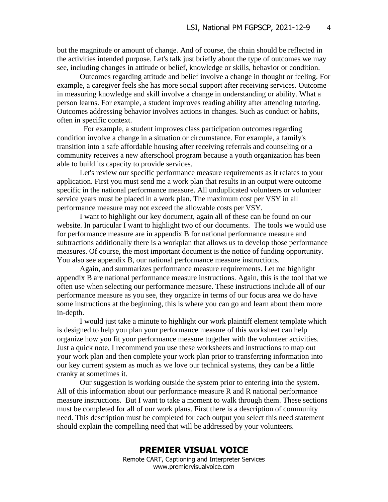but the magnitude or amount of change. And of course, the chain should be reflected in the activities intended purpose. Let's talk just briefly about the type of outcomes we may see, including changes in attitude or belief, knowledge or skills, behavior or condition.

Outcomes regarding attitude and belief involve a change in thought or feeling. For example, a caregiver feels she has more social support after receiving services. Outcome in measuring knowledge and skill involve a change in understanding or ability. What a person learns. For example, a student improves reading ability after attending tutoring. Outcomes addressing behavior involves actions in changes. Such as conduct or habits, often in specific context.

 For example, a student improves class participation outcomes regarding condition involve a change in a situation or circumstance. For example, a family's transition into a safe affordable housing after receiving referrals and counseling or a community receives a new afterschool program because a youth organization has been able to build its capacity to provide services.

Let's review our specific performance measure requirements as it relates to your application. First you must send me a work plan that results in an output were outcome specific in the national performance measure. All unduplicated volunteers or volunteer service years must be placed in a work plan. The maximum cost per VSY in all performance measure may not exceed the allowable costs per VSY.

I want to highlight our key document, again all of these can be found on our website. In particular I want to highlight two of our documents. The tools we would use for performance measure are in appendix B for national performance measure and subtractions additionally there is a workplan that allows us to develop those performance measures. Of course, the most important document is the notice of funding opportunity. You also see appendix B, our national performance measure instructions.

Again, and summarizes performance measure requirements. Let me highlight appendix B are national performance measure instructions. Again, this is the tool that we often use when selecting our performance measure. These instructions include all of our performance measure as you see, they organize in terms of our focus area we do have some instructions at the beginning, this is where you can go and learn about them more in-depth.

I would just take a minute to highlight our work plaintiff element template which is designed to help you plan your performance measure of this worksheet can help organize how you fit your performance measure together with the volunteer activities. Just a quick note, I recommend you use these worksheets and instructions to map out your work plan and then complete your work plan prior to transferring information into our key current system as much as we love our technical systems, they can be a little cranky at sometimes it.

Our suggestion is working outside the system prior to entering into the system. All of this information about our performance measure R and R national performance measure instructions. But I want to take a moment to walk through them. These sections must be completed for all of our work plans. First there is a description of community need. This description must be completed for each output you select this need statement should explain the compelling need that will be addressed by your volunteers.

## **PREMIER VISUAL VOICE**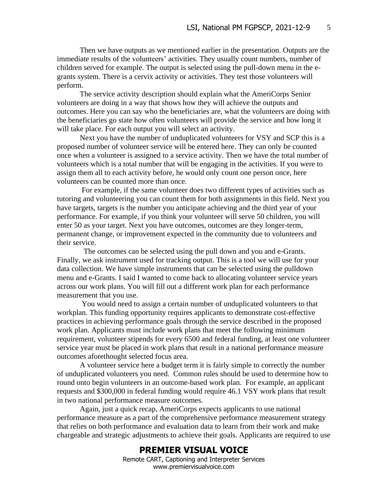Then we have outputs as we mentioned earlier in the presentation. Outputs are the immediate results of the volunteers' activities. They usually count numbers, number of children served for example. The output is selected using the pull-down menu in the egrants system. There is a cervix activity or activities. They test those volunteers will perform.

The service activity description should explain what the AmeriCorps Senior volunteers are doing in a way that shows how they will achieve the outputs and outcomes. Here you can say who the beneficiaries are, what the volunteers are doing with the beneficiaries go state how often volunteers will provide the service and how long it will take place. For each output you will select an activity.

Next you have the number of unduplicated volunteers for VSY and SCP this is a proposed number of volunteer service will be entered here. They can only be counted once when a volunteer is assigned to a service activity. Then we have the total number of volunteers which is a total number that will be engaging in the activities. If you were to assign them all to each activity before, he would only count one person once, here volunteers can be counted more than once.

For example, if the same volunteer does two different types of activities such as tutoring and volunteering you can count them for both assignments in this field. Next you have targets, targets is the number you anticipate achieving and the third year of your performance. For example, if you think your volunteer will serve 50 children, you will enter 50 as your target. Next you have outcomes, outcomes are they longer-term, permanent change, or improvement expected in the community due to volunteers and their service.

 The outcomes can be selected using the pull down and you and e-Grants. Finally, we ask instrument used for tracking output. This is a tool we will use for your data collection. We have simple instruments that can be selected using the pulldown menu and e-Grants. I said I wanted to come back to allocating volunteer service years across our work plans. You will fill out a different work plan for each performance measurement that you use.

You would need to assign a certain number of unduplicated volunteers to that workplan. This funding opportunity requires applicants to demonstrate cost-effective practices in achieving performance goals through the service described in the proposed work plan. Applicants must include work plans that meet the following minimum requirement, volunteer stipends for every 6500 and federal funding, at least one volunteer service year must be placed in work plans that result in a national performance measure outcomes aforethought selected focus area.

A volunteer service here a budget term it is fairly simple to correctly the number of unduplicated volunteers you need. Common rules should be used to determine how to round onto begin volunteers in an outcome-based work plan. For example, an applicant requests and \$300,000 in federal funding would require 46.1 VSY work plans that result in two national performance measure outcomes.

Again, just a quick recap, AmeriCorps expects applicants to use national performance measure as a part of the comprehensive performance measurement strategy that relies on both performance and evaluation data to learn from their work and make chargeable and strategic adjustments to achieve their goals. Applicants are required to use

### **PREMIER VISUAL VOICE**